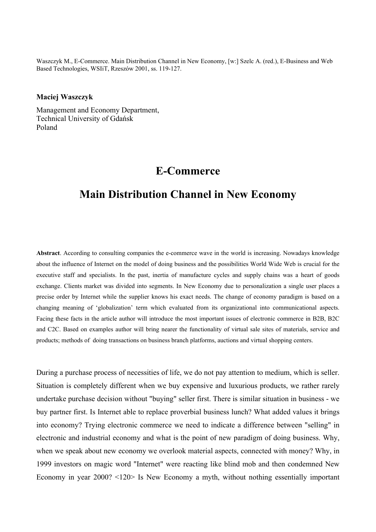Waszczyk M., E-Commerce. Main Distribution Channel in New Economy, [w:] Szelc A. (red.), E-Business and Web Based Technologies, WSIiT, Rzeszów 2001, ss. 119-127.

## **Maciej Waszczyk**

Management and Economy Department, Technical University of Gdańsk Poland

## **E-Commerce**

## **Main Distribution Channel in New Economy**

**Abstract**. According to consulting companies the e-commerce wave in the world is increasing. Nowadays knowledge about the influence of Internet on the model of doing business and the possibilities World Wide Web is crucial for the executive staff and specialists. In the past, inertia of manufacture cycles and supply chains was a heart of goods exchange. Clients market was divided into segments. In New Economy due to personalization a single user places a precise order by Internet while the supplier knows his exact needs. The change of economy paradigm is based on a changing meaning of 'globalization' term which evaluated from its organizational into communicational aspects. Facing these facts in the article author will introduce the most important issues of electronic commerce in B2B, B2C and C2C. Based on examples author will bring nearer the functionality of virtual sale sites of materials, service and products; methods of doing transactions on business branch platforms, auctions and virtual shopping centers.

During a purchase process of necessities of life, we do not pay attention to medium, which is seller. Situation is completely different when we buy expensive and luxurious products, we rather rarely undertake purchase decision without "buying" seller first. There is similar situation in business - we buy partner first. Is Internet able to replace proverbial business lunch? What added values it brings into economy? Trying electronic commerce we need to indicate a difference between "selling" in electronic and industrial economy and what is the point of new paradigm of doing business. Why, when we speak about new economy we overlook material aspects, connected with money? Why, in 1999 investors on magic word "Internet" were reacting like blind mob and then condemned New Economy in year 2000? <120> Is New Economy a myth, without nothing essentially important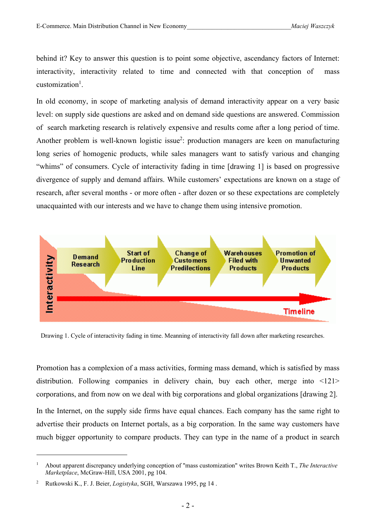behind it? Key to answer this question is to point some objective, ascendancy factors of Internet: interactivity, interactivity related to time and connected with that conception of mass customization<sup>1</sup>.

In old economy, in scope of marketing analysis of demand interactivity appear on a very basic level: on supply side questions are asked and on demand side questions are answered. Commission of search marketing research is relatively expensive and results come after a long period of time. Another problem is well-known logistic issue<sup>2</sup>: production managers are keen on manufacturing long series of homogenic products, while sales managers want to satisfy various and changing "whims" of consumers. Cycle of interactivity fading in time [drawing 1] is based on progressive divergence of supply and demand affairs. While customers' expectations are known on a stage of research, after several months - or more often - after dozen or so these expectations are completely unacquainted with our interests and we have to change them using intensive promotion.



Drawing 1. Cycle of interactivity fading in time. Meanning of interactivity fall down after marketing researches.

Promotion has a complexion of a mass activities, forming mass demand, which is satisfied by mass distribution. Following companies in delivery chain, buy each other, merge into <121> corporations, and from now on we deal with big corporations and global organizations [drawing 2].

In the Internet, on the supply side firms have equal chances. Each company has the same right to advertise their products on Internet portals, as a big corporation. In the same way customers have much bigger opportunity to compare products. They can type in the name of a product in search

<sup>1</sup> About apparent discrepancy underlying conception of "mass customization" writes Brown Keith T., *The Interactive Marketplace*, McGraw-Hill, USA 2001, pg 104.

<sup>2</sup> Rutkowski K., F. J. Beier, *Logistyka*, SGH, Warszawa 1995, pg 14 .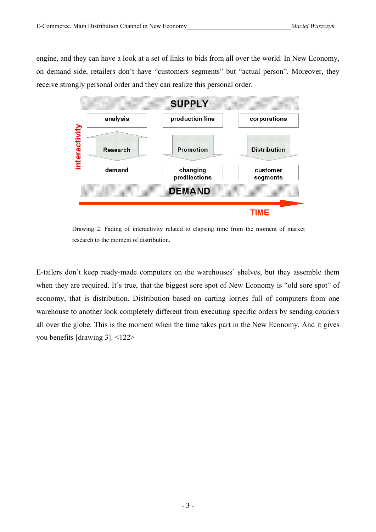engine, and they can have a look at a set of links to bids from all over the world. In New Economy, on demand side, retailers don't have "customers segments" but "actual person". Moreover, they receive strongly personal order and they can realize this personal order.



Drawing 2. Fading of interactivity related to elapsing time from the moment of market research to the moment of distribution.

E-tailers don't keep ready-made computers on the warehouses' shelves, but they assemble them when they are required. It's true, that the biggest sore spot of New Economy is "old sore spot" of economy, that is distribution. Distribution based on carting lorries full of computers from one warehouse to another look completely different from executing specific orders by sending couriers all over the globe. This is the moment when the time takes part in the New Economy. And it gives you benefits [drawing 3]. <122>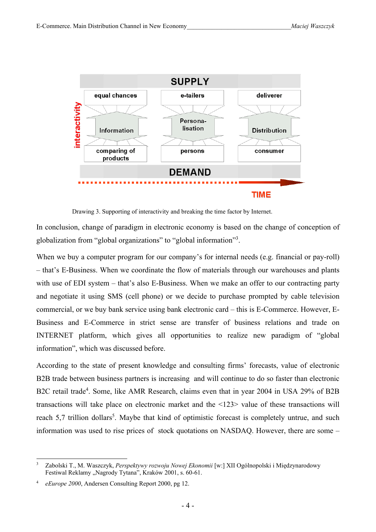

Drawing 3. Supporting of interactivity and breaking the time factor by Internet.

In conclusion, change of paradigm in electronic economy is based on the change of conception of globalization from "global organizations" to "global information"<sup>3</sup>.

When we buy a computer program for our company's for internal needs (e.g. financial or pay-roll) – that's E-Business. When we coordinate the flow of materials through our warehouses and plants with use of EDI system – that's also E-Business. When we make an offer to our contracting party and negotiate it using SMS (cell phone) or we decide to purchase prompted by cable television commercial, or we buy bank service using bank electronic card – this is E-Commerce. However, E-Business and E-Commerce in strict sense are transfer of business relations and trade on INTERNET platform, which gives all opportunities to realize new paradigm of "global information", which was discussed before.

According to the state of present knowledge and consulting firms' forecasts, value of electronic B2B trade between business partners is increasing and will continue to do so faster than electronic B2C retail trade<sup>4</sup>. Some, like AMR Research, claims even that in year 2004 in USA 29% of B2B transactions will take place on electronic market and the <123> value of these transactions will reach 5,7 trillion dollars<sup>5</sup>. Maybe that kind of optimistic forecast is completely untrue, and such information was used to rise prices of stock quotations on NASDAQ. However, there are some –

<sup>3</sup> Zabolski T., M. Waszczyk, *Perspektywy rozwoju Nowej Ekonomii* [w:] XII Ogólnopolski i Międzynarodowy Festiwal Reklamy "Nagrody Tytana", Kraków 2001, s. 60-61.

<sup>4</sup> *eEurope 2000*, Andersen Consulting Report 2000, pg 12.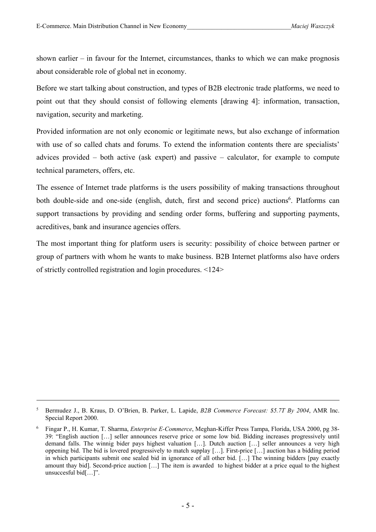shown earlier – in favour for the Internet, circumstances, thanks to which we can make prognosis about considerable role of global net in economy.

Before we start talking about construction, and types of B2B electronic trade platforms, we need to point out that they should consist of following elements [drawing 4]: information, transaction, navigation, security and marketing.

Provided information are not only economic or legitimate news, but also exchange of information with use of so called chats and forums. To extend the information contents there are specialists' advices provided – both active (ask expert) and passive – calculator, for example to compute technical parameters, offers, etc.

The essence of Internet trade platforms is the users possibility of making transactions throughout both double-side and one-side (english, dutch, first and second price) auctions<sup>6</sup>. Platforms can support transactions by providing and sending order forms, buffering and supporting payments, acreditives, bank and insurance agencies offers.

The most important thing for platform users is security: possibility of choice between partner or group of partners with whom he wants to make business. B2B Internet platforms also have orders of strictly controlled registration and login procedures. <124>

<sup>5</sup> Bermudez J., B. Kraus, D. O'Brien, B. Parker, L. Lapide, *B2B Commerce Forecast: \$5.7T By 2004*, AMR Inc. Special Report 2000.

<sup>6</sup> Fingar P., H. Kumar, T. Sharma, *Enterprise E-Commerce*, Meghan-Kiffer Press Tampa, Florida, USA 2000, pg 38- 39: "English auction […] seller announces reserve price or some low bid. Bidding increases progressively until demand falls. The winnig bider pays highest valuation […]. Dutch auction […] seller announces a very high oppening bid. The bid is lovered progressively to match supplay […]. First-price […] auction has a bidding period in which participants submit one sealed bid in ignorance of all other bid. […] The winning bidders [pay exactly amount thay bid]. Second-price auction […] The item is awarded to highest bidder at a price equal to the highest unsuccesful bid[…]".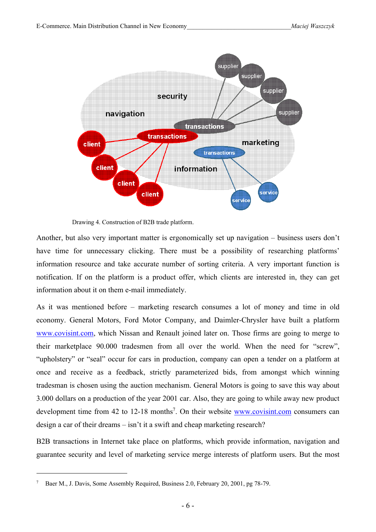

Drawing 4. Construction of B2B trade platform.

Another, but also very important matter is ergonomically set up navigation – business users don't have time for unnecessary clicking. There must be a possibility of researching platforms' information resource and take accurate number of sorting criteria. A very important function is notification. If on the platform is a product offer, which clients are interested in, they can get information about it on them e-mail immediately.

As it was mentioned before – marketing research consumes a lot of money and time in old economy. General Motors, Ford Motor Company, and Daimler-Chrysler have built a platform www.covisint.com, which Nissan and Renault joined later on. Those firms are going to merge to their marketplace 90.000 tradesmen from all over the world. When the need for "screw", "upholstery" or "seal" occur for cars in production, company can open a tender on a platform at once and receive as a feedback, strictly parameterized bids, from amongst which winning tradesman is chosen using the auction mechanism. General Motors is going to save this way about 3.000 dollars on a production of the year 2001 car. Also, they are going to while away new product development time from 42 to 12-18 months<sup>7</sup>. On their website **www.covisint.com** consumers can design a car of their dreams – isn't it a swift and cheap marketing research?

B2B transactions in Internet take place on platforms, which provide information, navigation and guarantee security and level of marketing service merge interests of platform users. But the most

<sup>7</sup> Baer M., J. Davis, Some Assembly Required, Business 2.0, February 20, 2001, pg 78-79.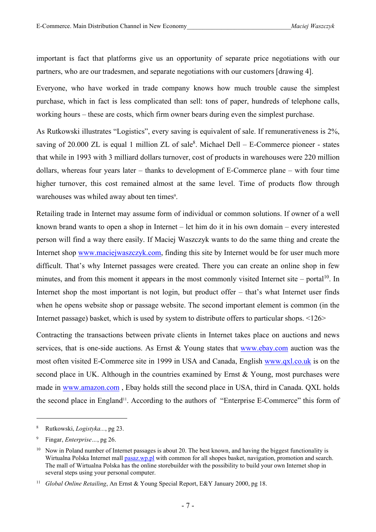important is fact that platforms give us an opportunity of separate price negotiations with our partners, who are our tradesmen, and separate negotiations with our customers [drawing 4].

Everyone, who have worked in trade company knows how much trouble cause the simplest purchase, which in fact is less complicated than sell: tons of paper, hundreds of telephone calls, working hours – these are costs, which firm owner bears during even the simplest purchase.

As Rutkowski illustrates "Logistics", every saving is equivalent of sale. If remunerativeness is 2%, saving of 20.000 ZL is equal 1 million ZL of sale $8$ . Michael Dell – E-Commerce pioneer - states that while in 1993 with 3 milliard dollars turnover, cost of products in warehouses were 220 million dollars, whereas four years later – thanks to development of E-Commerce plane – with four time higher turnover, this cost remained almost at the same level. Time of products flow through warehouses was whiled away about ten times<sup>9</sup>.

Retailing trade in Internet may assume form of individual or common solutions. If owner of a well known brand wants to open a shop in Internet – let him do it in his own domain – every interested person will find a way there easily. If Maciej Waszczyk wants to do the same thing and create the Internet shop www.maciejwaszczyk.com, finding this site by Internet would be for user much more difficult. That's why Internet passages were created. There you can create an online shop in few minutes, and from this moment it appears in the most commonly visited Internet site – portal<sup>10</sup>. In Internet shop the most important is not login, but product offer – that's what Internet user finds when he opens website shop or passage website. The second important element is common (in the Internet passage) basket, which is used by system to distribute offers to particular shops. <126>

Contracting the transactions between private clients in Internet takes place on auctions and news services, that is one-side auctions. As Ernst & Young states that www.ebay.com auction was the most often visited E-Commerce site in 1999 in USA and Canada, English www.qxl.co.uk is on the second place in UK. Although in the countries examined by Ernst & Young, most purchases were made in www.amazon.com , Ebay holds still the second place in USA, third in Canada. QXL holds the second place in England<sup>11</sup>. According to the authors of "Enterprise E-Commerce" this form of

<sup>8</sup> Rutkowski, *Logistyka...*, pg 23.

<sup>9</sup> Fingar, *Enterprise…*, pg 26.

<sup>&</sup>lt;sup>10</sup> Now in Poland number of Internet passages is about 20. The best known, and having the biggest functionality is Wirtualna Polska Internet mall pasaz.wp.pl with common for all shopes basket, navigation, promotion and search. The mall of Wirtualna Polska has the online storebuilder with the possibility to build your own Internet shop in several steps using your personal computer.

<sup>&</sup>lt;sup>11</sup> *Global Online Retailing*, An Ernst & Young Special Report, E&Y January 2000, pg 18.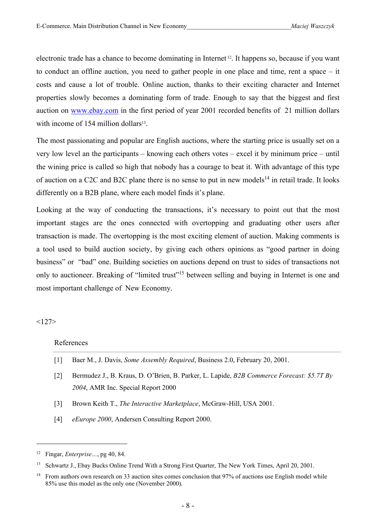electronic trade has a chance to become dominating in Internet 12. It happens so, because if you want to conduct an offline auction, you need to gather people in one place and time, rent a space – it costs and cause a lot of trouble. Online auction, thanks to their exciting character and Internet properties slowly becomes a dominating form of trade. Enough to say that the biggest and first auction on www.ebay.com in the first period of year 2001 recorded benefits of 21 million dollars with income of 154 million dollars<sup>13</sup>.

The most passionating and popular are English auctions, where the starting price is usually set on a very low level an the participants – knowing each others votes – excel it by minimum price – until the wining price is called so high that nobody has a courage to beat it. With advantage of this type of auction on a C2C and B2C plane there is no sense to put in new models<sup>14</sup> in retail trade. It looks differently on a B2B plane, where each model finds it's plane.

Looking at the way of conducting the transactions, it's necessary to point out that the most important stages are the ones connected with overtopping and graduating other users after transaction is made. The overtopping is the most exciting element of auction. Making comments is a tool used to build auction society, by giving each others opinions as "good partner in doing business" or "bad" one. Building societies on auctions depend on trust to sides of transactions not only to auctioneer. Breaking of "limited trust"<sup>15</sup> between selling and buying in Internet is one and most important challenge of New Economy.

 $<127>$ 

## References

- [1] Baer M., J. Davis, *Some Assembly Required*, Business 2.0, February 20, 2001.
- [2] Bermudez J., B. Kraus, D. O'Brien, B. Parker, L. Lapide, *B2B Commerce Forecast: \$5.7T By 2004*, AMR Inc. Special Report 2000
- [3] Brown Keith T., *The Interactive Marketplace*, McGraw-Hill, USA 2001.
- [4] *eEurope 2000*, Andersen Consulting Report 2000.

<sup>12</sup> Fingar, *Enterprise…*, pg 40, 84.

<sup>&</sup>lt;sup>13</sup> Schwartz J., Ebay Bucks Online Trend With a Strong First Quarter, The New York Times, April 20, 2001.

<sup>&</sup>lt;sup>14</sup> From authors own research on 33 auction sites comes conclusion that 97% of auctions use English model while 85% use this model as the only one (November 2000).